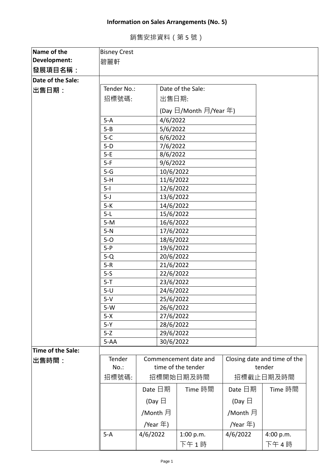## **Information on Sales Arrangements (No. 5)**

銷售安排資料(第 5 號)

| Name of the       | <b>Bisney Crest</b>              |                           |                        |                        |                  |                              |  |
|-------------------|----------------------------------|---------------------------|------------------------|------------------------|------------------|------------------------------|--|
| Development:      |                                  |                           |                        |                        |                  |                              |  |
| 發展項目名稱:           | 碧麗軒                              |                           |                        |                        |                  |                              |  |
|                   |                                  |                           |                        |                        |                  |                              |  |
| Date of the Sale: | Date of the Sale:<br>Tender No.: |                           |                        |                        |                  |                              |  |
| 出售日期:             |                                  |                           |                        |                        |                  |                              |  |
|                   | 招標號碼:<br>出售日期:                   |                           |                        |                        |                  |                              |  |
|                   |                                  |                           |                        | (Day 日/Month 月/Year 年) |                  |                              |  |
|                   | $5-A$                            |                           | 4/6/2022               |                        |                  |                              |  |
|                   | $5 - B$                          |                           | 5/6/2022               |                        |                  |                              |  |
|                   | $5-C$                            |                           | 6/6/2022               |                        |                  |                              |  |
|                   | $5-D$                            |                           | 7/6/2022               |                        |                  |                              |  |
|                   | $5-E$                            |                           | 8/6/2022               |                        |                  |                              |  |
|                   | $5-F$                            |                           | 9/6/2022               |                        |                  |                              |  |
|                   | $5-G$                            |                           | 10/6/2022              |                        |                  |                              |  |
|                   | $5-H$<br>$5-I$                   |                           | 11/6/2022              |                        |                  |                              |  |
|                   | $5-J$                            |                           | 12/6/2022<br>13/6/2022 |                        |                  |                              |  |
|                   | $5-K$                            |                           | 14/6/2022              |                        |                  |                              |  |
|                   | $5-L$                            |                           | 15/6/2022              |                        |                  |                              |  |
|                   | $5-M$                            |                           | 16/6/2022              |                        |                  |                              |  |
|                   | $5-N$                            |                           | 17/6/2022              |                        |                  |                              |  |
|                   | $5-0$                            |                           | 18/6/2022              |                        |                  |                              |  |
|                   | $5-P$                            |                           | 19/6/2022              |                        |                  |                              |  |
|                   | $5-Q$                            |                           | 20/6/2022              |                        |                  |                              |  |
|                   | $5-R$                            |                           | 21/6/2022              |                        |                  |                              |  |
|                   | $5-5$                            |                           | 22/6/2022              |                        |                  |                              |  |
|                   | $5 - T$                          |                           | 23/6/2022              |                        |                  |                              |  |
|                   | 24/6/2022<br>$5-U$               |                           |                        |                        |                  |                              |  |
|                   | $5-V$                            | 25/6/2022                 |                        |                        |                  |                              |  |
|                   | $5-W$                            |                           | 26/6/2022              |                        |                  |                              |  |
|                   | $5-X$<br>$5-Y$                   |                           | 27/6/2022              |                        |                  |                              |  |
|                   | $5-Z$                            |                           | 28/6/2022              |                        |                  |                              |  |
|                   | $5 - AA$                         |                           | 29/6/2022<br>30/6/2022 |                        |                  |                              |  |
| Time of the Sale: |                                  |                           |                        |                        |                  |                              |  |
| 出售時間:             | Tender                           |                           |                        | Commencement date and  |                  | Closing date and time of the |  |
|                   | $No.$ :                          | Date 日期                   |                        | time of the tender     |                  | tender                       |  |
|                   | 招標號碼:                            |                           |                        | 招標開始日期及時間              |                  | 招標截止日期及時間                    |  |
|                   |                                  |                           |                        | Time 時間                | Date 日期          | Time 時間                      |  |
|                   |                                  | (Day $\boxminus$          |                        |                        | (Day $\boxminus$ |                              |  |
|                   |                                  |                           |                        |                        |                  |                              |  |
|                   |                                  | /Month 月                  |                        |                        | /Month 月         |                              |  |
|                   |                                  | /Year 年)<br>/Year $\pm$ ) |                        |                        |                  |                              |  |
|                   | $5-A$                            | 4/6/2022                  |                        | 1:00 p.m.<br>下午1時      | 4/6/2022         | 4:00 p.m.<br>下午4時            |  |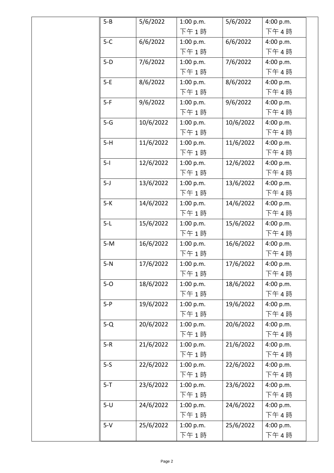| $5 - B$ | 5/6/2022  | 1:00 p.m. | 5/6/2022  | 4:00 p.m. |
|---------|-----------|-----------|-----------|-----------|
|         |           | 下午1時      |           | 下午4時      |
| $5-C$   | 6/6/2022  | 1:00 p.m. | 6/6/2022  | 4:00 p.m. |
|         |           | 下午1時      |           | 下午4時      |
| $5-D$   | 7/6/2022  | 1:00 p.m. | 7/6/2022  | 4:00 p.m. |
|         |           | 下午1時      |           | 下午4時      |
| $5-E$   | 8/6/2022  | 1:00 p.m. | 8/6/2022  | 4:00 p.m. |
|         |           | 下午1時      |           | 下午4時      |
| $5-F$   | 9/6/2022  | 1:00 p.m. | 9/6/2022  | 4:00 p.m. |
|         |           | 下午1時      |           | 下午4時      |
| $5 - G$ | 10/6/2022 | 1:00 p.m. | 10/6/2022 | 4:00 p.m. |
|         |           | 下午1時      |           | 下午4時      |
| $5-H$   | 11/6/2022 | 1:00 p.m. | 11/6/2022 | 4:00 p.m. |
|         |           | 下午1時      |           | 下午4時      |
| $5-I$   | 12/6/2022 | 1:00 p.m. | 12/6/2022 | 4:00 p.m. |
|         |           | 下午1時      |           | 下午4時      |
| $5 - J$ | 13/6/2022 | 1:00 p.m. | 13/6/2022 | 4:00 p.m. |
|         |           | 下午1時      |           | 下午4時      |
| $5-K$   | 14/6/2022 | 1:00 p.m. | 14/6/2022 | 4:00 p.m. |
|         |           | 下午1時      |           | 下午4時      |
| $5-L$   | 15/6/2022 | 1:00 p.m. | 15/6/2022 | 4:00 p.m. |
|         |           | 下午1時      |           | 下午4時      |
| $5-M$   | 16/6/2022 | 1:00 p.m. | 16/6/2022 | 4:00 p.m. |
|         |           | 下午1時      |           | 下午4時      |
| $5-N$   | 17/6/2022 | 1:00 p.m. | 17/6/2022 | 4:00 p.m. |
|         |           | 下午1時      |           | 下午4時      |
| $5-0$   | 18/6/2022 | 1:00 p.m. | 18/6/2022 | 4:00 p.m. |
|         |           | 下午1時      |           | 下午4時      |
| $5-P$   | 19/6/2022 | 1:00 p.m. | 19/6/2022 | 4:00 p.m. |
|         |           | 下午1時      |           | 下午4時      |
| $5-Q$   | 20/6/2022 | 1:00 p.m. | 20/6/2022 | 4:00 p.m. |
|         |           | 下午1時      |           | 下午4時      |
| $5-R$   | 21/6/2022 | 1:00 p.m. | 21/6/2022 | 4:00 p.m. |
|         |           | 下午1時      |           | 下午4時      |
| $5-5$   | 22/6/2022 | 1:00 p.m. | 22/6/2022 | 4:00 p.m. |
|         |           | 下午1時      |           | 下午4時      |
| $5 - T$ | 23/6/2022 | 1:00 p.m. | 23/6/2022 | 4:00 p.m. |
|         |           | 下午1時      |           | 下午4時      |
| $5-U$   | 24/6/2022 | 1:00 p.m. | 24/6/2022 | 4:00 p.m. |
|         |           | 下午1時      |           | 下午4時      |
| $5-V$   | 25/6/2022 | 1:00 p.m. | 25/6/2022 | 4:00 p.m. |
|         |           | 下午1時      |           | 下午4時      |
|         |           |           |           |           |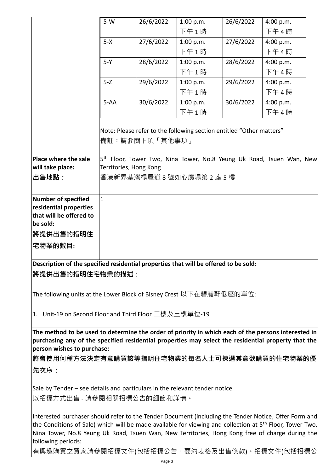|                                                                                                                                                                                                                                                                                                                                  | $5-W$                                                                                  | 26/6/2022              | 1:00 p.m.                  | 26/6/2022 | 4:00 p.m.                                                                        |  |  |
|----------------------------------------------------------------------------------------------------------------------------------------------------------------------------------------------------------------------------------------------------------------------------------------------------------------------------------|----------------------------------------------------------------------------------------|------------------------|----------------------------|-----------|----------------------------------------------------------------------------------|--|--|
|                                                                                                                                                                                                                                                                                                                                  |                                                                                        |                        | 下午1時                       |           | 下午4時                                                                             |  |  |
|                                                                                                                                                                                                                                                                                                                                  | $5-X$                                                                                  | 27/6/2022              | 1:00 p.m.                  | 27/6/2022 | 4:00 p.m.                                                                        |  |  |
|                                                                                                                                                                                                                                                                                                                                  |                                                                                        |                        | 下午1時                       |           | 下午4時                                                                             |  |  |
|                                                                                                                                                                                                                                                                                                                                  | $5-Y$                                                                                  | 28/6/2022              | 1:00 p.m.                  | 28/6/2022 | 4:00 p.m.                                                                        |  |  |
|                                                                                                                                                                                                                                                                                                                                  |                                                                                        |                        | 下午1時                       |           | 下午4時                                                                             |  |  |
|                                                                                                                                                                                                                                                                                                                                  | $5 - Z$                                                                                | 29/6/2022              | 1:00 p.m.                  | 29/6/2022 | 4:00 p.m.                                                                        |  |  |
|                                                                                                                                                                                                                                                                                                                                  |                                                                                        |                        | 下午1時                       |           | 下午4時                                                                             |  |  |
|                                                                                                                                                                                                                                                                                                                                  | $5 - AA$                                                                               | 30/6/2022              | 1:00 p.m.                  | 30/6/2022 | 4:00 p.m.                                                                        |  |  |
|                                                                                                                                                                                                                                                                                                                                  |                                                                                        |                        | 下午1時                       |           | 下午4時                                                                             |  |  |
|                                                                                                                                                                                                                                                                                                                                  | Note: Please refer to the following section entitled "Other matters"<br>備註:請參閱下項「其他事項」 |                        |                            |           |                                                                                  |  |  |
| Place where the sale                                                                                                                                                                                                                                                                                                             |                                                                                        |                        |                            |           | 5 <sup>th</sup> Floor, Tower Two, Nina Tower, No.8 Yeung Uk Road, Tsuen Wan, New |  |  |
| will take place:                                                                                                                                                                                                                                                                                                                 |                                                                                        | Territories, Hong Kong |                            |           |                                                                                  |  |  |
| 出售地點:                                                                                                                                                                                                                                                                                                                            |                                                                                        |                        | 香港新界荃灣楊屋道 8 號如心廣場第 2 座 5 樓 |           |                                                                                  |  |  |
| <b>Number of specified</b>                                                                                                                                                                                                                                                                                                       | $\overline{1}$                                                                         |                        |                            |           |                                                                                  |  |  |
| residential properties                                                                                                                                                                                                                                                                                                           |                                                                                        |                        |                            |           |                                                                                  |  |  |
| that will be offered to                                                                                                                                                                                                                                                                                                          |                                                                                        |                        |                            |           |                                                                                  |  |  |
| be sold:                                                                                                                                                                                                                                                                                                                         |                                                                                        |                        |                            |           |                                                                                  |  |  |
| 將提供出售的指明住                                                                                                                                                                                                                                                                                                                        |                                                                                        |                        |                            |           |                                                                                  |  |  |
| 宅物業的數目:                                                                                                                                                                                                                                                                                                                          |                                                                                        |                        |                            |           |                                                                                  |  |  |
|                                                                                                                                                                                                                                                                                                                                  |                                                                                        |                        |                            |           |                                                                                  |  |  |
| Description of the specified residential properties that will be offered to be sold:                                                                                                                                                                                                                                             |                                                                                        |                        |                            |           |                                                                                  |  |  |
| 將提供出售的指明住宅物業的描述:                                                                                                                                                                                                                                                                                                                 |                                                                                        |                        |                            |           |                                                                                  |  |  |
| The following units at the Lower Block of Bisney Crest 以下在碧麗軒低座的單位:                                                                                                                                                                                                                                                              |                                                                                        |                        |                            |           |                                                                                  |  |  |
|                                                                                                                                                                                                                                                                                                                                  |                                                                                        |                        |                            |           |                                                                                  |  |  |
| 1. Unit-19 on Second Floor and Third Floor 二樓及三樓單位-19                                                                                                                                                                                                                                                                            |                                                                                        |                        |                            |           |                                                                                  |  |  |
| The method to be used to determine the order of priority in which each of the persons interested in<br>purchasing any of the specified residential properties may select the residential property that the<br>person wishes to purchase:                                                                                         |                                                                                        |                        |                            |           |                                                                                  |  |  |
| 將會使用何種方法決定有意購買該等指明住宅物業的每名人士可揀選其意欲購買的住宅物業的優                                                                                                                                                                                                                                                                                       |                                                                                        |                        |                            |           |                                                                                  |  |  |
| 先次序:                                                                                                                                                                                                                                                                                                                             |                                                                                        |                        |                            |           |                                                                                  |  |  |
| Sale by Tender – see details and particulars in the relevant tender notice.<br>以招標方式出售 - 請參閱相關招標公告的細節和詳情。                                                                                                                                                                                                                        |                                                                                        |                        |                            |           |                                                                                  |  |  |
| Interested purchaser should refer to the Tender Document (including the Tender Notice, Offer Form and<br>the Conditions of Sale) which will be made available for viewing and collection at 5 <sup>th</sup> Floor, Tower Two,<br>Nina Tower, No.8 Yeung Uk Road, Tsuen Wan, New Territories, Hong Kong free of charge during the |                                                                                        |                        |                            |           |                                                                                  |  |  |

有興趣購買之買家請參閱招標文件(包括招標公告、要約表格及出售條款)。招標文件(包括招標公

following periods: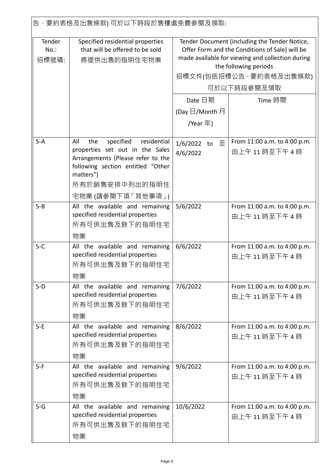|                            | 告、要約表格及出售條款) 可於以下時段於售樓處免費參閱及領取:                                                                                                                                  |                                                                                                                                                                                                                        |                                                 |  |
|----------------------------|------------------------------------------------------------------------------------------------------------------------------------------------------------------|------------------------------------------------------------------------------------------------------------------------------------------------------------------------------------------------------------------------|-------------------------------------------------|--|
| Tender<br>$No.$ :<br>招標號碼: | Specified residential properties<br>that will be offered to be sold<br>將提供出售的指明住宅物業                                                                              | Tender Document (including the Tender Notice,<br>Offer Form and the Conditions of Sale) will be<br>made available for viewing and collection during<br>the following periods<br>招標文件(包括招標公告 、要約表格及出售條款)<br>可於以下時段參閱及領取 |                                                 |  |
|                            |                                                                                                                                                                  | Date 日期                                                                                                                                                                                                                | Time 時間                                         |  |
|                            |                                                                                                                                                                  |                                                                                                                                                                                                                        |                                                 |  |
|                            |                                                                                                                                                                  | (Day $\boxdot$ /Month 月                                                                                                                                                                                                |                                                 |  |
|                            |                                                                                                                                                                  | /Year 年)                                                                                                                                                                                                               |                                                 |  |
| $5-A$                      | specified<br>residential<br>All<br>the<br>properties set out in the Sales<br>Arrangements (Please refer to the<br>following section entitled "Other<br>matters") | 1/6/2022 to 至<br>4/6/2022                                                                                                                                                                                              | From 11:00 a.m. to 4:00 p.m.<br>由上午11時至下午4時     |  |
|                            | 所有於銷售安排中列出的指明住                                                                                                                                                   |                                                                                                                                                                                                                        |                                                 |  |
|                            | 宅物業(請參閱下項「其他事項」)                                                                                                                                                 |                                                                                                                                                                                                                        |                                                 |  |
| $5 - B$                    | All the available and remaining<br>specified residential properties<br>所有可供出售及餘下的指明住宅<br>物業                                                                      | 5/6/2022                                                                                                                                                                                                               | From 11:00 a.m. to 4:00 p.m.<br>由上午11時至下午4時     |  |
| $5-C$                      | All the available and remaining<br>specified residential properties<br>所有可供出售及餘下的指明住宅<br>物業                                                                      | 6/6/2022                                                                                                                                                                                                               | From 11:00 a.m. to 4:00 p.m.<br>由上午11時至下午4時     |  |
| $5-D$                      | All the available and remaining<br>specified residential properties<br>所有可供出售及餘下的指明住宅<br>物業                                                                      | 7/6/2022                                                                                                                                                                                                               | From 11:00 a.m. to 4:00 p.m.<br>由上午 11 時至下午 4 時 |  |
| $5-E$                      | All the available and remaining<br>specified residential properties<br>所有可供出售及餘下的指明住宅<br>物業                                                                      | 8/6/2022                                                                                                                                                                                                               | From 11:00 a.m. to 4:00 p.m.<br>由上午 11 時至下午 4 時 |  |
| $5-F$                      | All the available and remaining<br>specified residential properties<br>所有可供出售及餘下的指明住宅<br>物業                                                                      | 9/6/2022                                                                                                                                                                                                               | From 11:00 a.m. to 4:00 p.m.<br>由上午 11 時至下午 4 時 |  |
| $5-G$                      | All the available and remaining<br>specified residential properties<br>所有可供出售及餘下的指明住宅<br>物業                                                                      | 10/6/2022                                                                                                                                                                                                              | From 11:00 a.m. to 4:00 p.m.<br>由上午 11 時至下午 4 時 |  |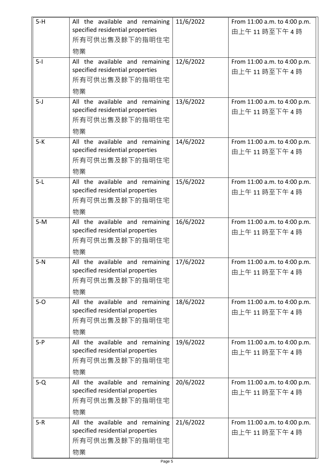| $5-H$ | All the available and remaining<br>specified residential properties<br>所有可供出售及餘下的指明住宅<br>物業 | 11/6/2022 | From 11:00 a.m. to 4:00 p.m.<br>由上午11時至下午4時 |
|-------|---------------------------------------------------------------------------------------------|-----------|---------------------------------------------|
| $5-I$ | All the available and remaining<br>specified residential properties<br>所有可供出售及餘下的指明住宅<br>物業 | 12/6/2022 | From 11:00 a.m. to 4:00 p.m.<br>由上午11時至下午4時 |
| $5-J$ | All the available and remaining<br>specified residential properties<br>所有可供出售及餘下的指明住宅<br>物業 | 13/6/2022 | From 11:00 a.m. to 4:00 p.m.<br>由上午11時至下午4時 |
| $5-K$ | All the available and remaining<br>specified residential properties<br>所有可供出售及餘下的指明住宅<br>物業 | 14/6/2022 | From 11:00 a.m. to 4:00 p.m.<br>由上午11時至下午4時 |
| $5-L$ | All the available and remaining<br>specified residential properties<br>所有可供出售及餘下的指明住宅<br>物業 | 15/6/2022 | From 11:00 a.m. to 4:00 p.m.<br>由上午11時至下午4時 |
| $5-M$ | All the available and remaining<br>specified residential properties<br>所有可供出售及餘下的指明住宅<br>物業 | 16/6/2022 | From 11:00 a.m. to 4:00 p.m.<br>由上午11時至下午4時 |
| $5-N$ | All the available and remaining<br>specified residential properties<br>所有可供出售及餘下的指明住宅<br>物業 | 17/6/2022 | From 11:00 a.m. to 4:00 p.m.<br>由上午11時至下午4時 |
| $5-0$ | All the available and remaining<br>specified residential properties<br>所有可供出售及餘下的指明住宅<br>物業 | 18/6/2022 | From 11:00 a.m. to 4:00 p.m.<br>由上午11時至下午4時 |
| $5-P$ | All the available and remaining<br>specified residential properties<br>所有可供出售及餘下的指明住宅<br>物業 | 19/6/2022 | From 11:00 a.m. to 4:00 p.m.<br>由上午11時至下午4時 |
| $5-Q$ | All the available and remaining<br>specified residential properties<br>所有可供出售及餘下的指明住宅<br>物業 | 20/6/2022 | From 11:00 a.m. to 4:00 p.m.<br>由上午11時至下午4時 |
| $5-R$ | All the available and remaining<br>specified residential properties<br>所有可供出售及餘下的指明住宅<br>物業 | 21/6/2022 | From 11:00 a.m. to 4:00 p.m.<br>由上午11時至下午4時 |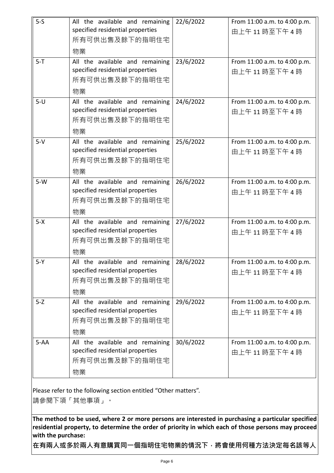| $5-5$<br>$5 - T$ | All the available and remaining<br>specified residential properties<br>所有可供出售及餘下的指明住宅<br>物業 | 22/6/2022<br>23/6/2022 | From 11:00 a.m. to 4:00 p.m.<br>由上午11時至下午4時     |
|------------------|---------------------------------------------------------------------------------------------|------------------------|-------------------------------------------------|
|                  | All the available and remaining<br>specified residential properties<br>所有可供出售及餘下的指明住宅<br>物業 |                        | From 11:00 a.m. to 4:00 p.m.<br>由上午11時至下午4時     |
| $5-U$            | All the available and remaining<br>specified residential properties<br>所有可供出售及餘下的指明住宅<br>物業 | 24/6/2022              | From 11:00 a.m. to 4:00 p.m.<br>由上午11時至下午4時     |
| $5-V$            | All the available and remaining<br>specified residential properties<br>所有可供出售及餘下的指明住宅<br>物業 | 25/6/2022              | From 11:00 a.m. to 4:00 p.m.<br>由上午11時至下午4時     |
| $5-W$            | All the available and remaining<br>specified residential properties<br>所有可供出售及餘下的指明住宅<br>物業 | 26/6/2022              | From 11:00 a.m. to 4:00 p.m.<br>由上午11時至下午4時     |
| $5 - X$          | All the available and remaining<br>specified residential properties<br>所有可供出售及餘下的指明住宅<br>物業 | 27/6/2022              | From 11:00 a.m. to 4:00 p.m.<br>由上午11時至下午4時     |
| $5-Y$            | All the available and remaining<br>specified residential properties<br>所有可供出售及餘下的指明住宅<br>物業 | 28/6/2022              | From 11:00 a.m. to 4:00 p.m.<br>由上午11時至下午4時     |
| $5 - Z$          | All the available and remaining<br>specified residential properties<br>所有可供出售及餘下的指明住宅<br>物業 | 29/6/2022              | From 11:00 a.m. to 4:00 p.m.<br>由上午 11 時至下午 4 時 |
| $5 - AA$         | All the available and remaining<br>specified residential properties<br>所有可供出售及餘下的指明住宅<br>物業 | 30/6/2022              | From 11:00 a.m. to 4:00 p.m.<br>由上午11時至下午4時     |

Please refer to the following section entitled "Other matters".

請參閱下項「其他事項」。

**The method to be used, where 2 or more persons are interested in purchasing a particular specified residential property, to determine the order of priority in which each of those persons may proceed with the purchase:**

**在有兩人或多於兩人有意購買同一個指明住宅物業的情況下,將會使用何種方法決定每名該等人**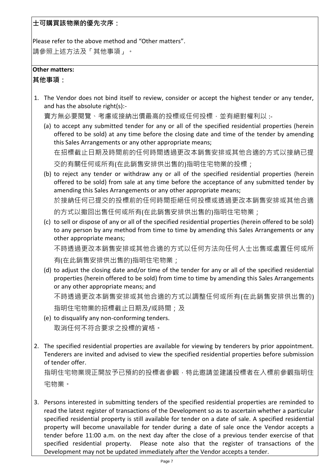**士可購買該物業的優先次序:**

Please refer to the above method and "Other matters". 請參照上述方法及「其他事項」。

## **Other matters:**

**其他事項:**

1. The Vendor does not bind itself to review, consider or accept the highest tender or any tender, and has the absolute right(s):-

賣方無必要閱覽、考慮或接納出價最高的投標或任何投標,並有絕對權利以 :-

(a) to accept any submitted tender for any or all of the specified residential properties (herein offered to be sold) at any time before the closing date and time of the tender by amending this Sales Arrangements or any other appropriate means;

在招標截止日期及時間前的任何時間透過更改本銷售安排或其他合適的方式以接納已提

交的有關任何或所有(在此銷售安排供出售的)指明住宅物業的投標;

(b) to reject any tender or withdraw any or all of the specified residential properties (herein offered to be sold) from sale at any time before the acceptance of any submitted tender by amending this Sales Arrangements or any other appropriate means;

於接納任何已提交的投標前的任何時間拒絕任何投標或透過更改本銷售安排或其他合適 的方式以撤回出售任何或所有(在此銷售安排供出售的)指明住宅物業;

(c) to sell or dispose of any or all of the specified residential properties (herein offered to be sold) to any person by any method from time to time by amending this Sales Arrangements or any other appropriate means;

不時透過更改本銷售安排或其他合適的方式以任何方法向任何人士出售或處置任何或所 有(在此銷售安排供出售的)指明住宅物業;

(d) to adjust the closing date and/or time of the tender for any or all of the specified residential properties (herein offered to be sold) from time to time by amending this Sales Arrangements or any other appropriate means; and

不時透過更改本銷售安排或其他合適的方式以調整任何或所有(在此銷售安排供出售的)

指明住宅物業的招標截止日期及/或時間;及

- (e) to disqualify any non-conforming tenders. 取消任何不符合要求之投標的資格。
- 2. The specified residential properties are available for viewing by tenderers by prior appointment. Tenderers are invited and advised to view the specified residential properties before submission of tender offer.

指明住宅物業現正開放予已預約的投標者參觀,特此邀請並建議投標者在入標前參觀指明住 宅物業。

3. Persons interested in submitting tenders of the specified residential properties are reminded to read the latest register of transactions of the Development so as to ascertain whether a particular specified residential property is still available for tender on a date of sale. A specified residential property will become unavailable for tender during a date of sale once the Vendor accepts a tender before 11:00 a.m. on the next day after the close of a previous tender exercise of that specified residential property. Please note also that the register of transactions of the Development may not be updated immediately after the Vendor accepts a tender.